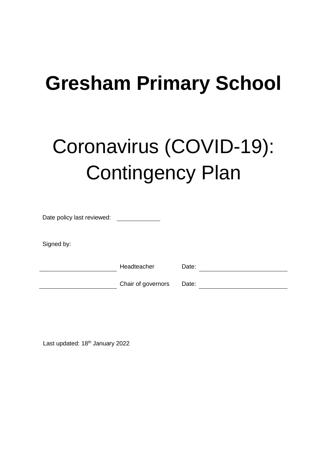# **Gresham Primary School**

# Coronavirus (COVID-19): Contingency Plan

| Date policy last reviewed: |                    |       |
|----------------------------|--------------------|-------|
| Signed by:                 |                    |       |
|                            | Headteacher        | Date: |
|                            | Chair of governors | Date: |

Last updated: 18<sup>th</sup> January 2022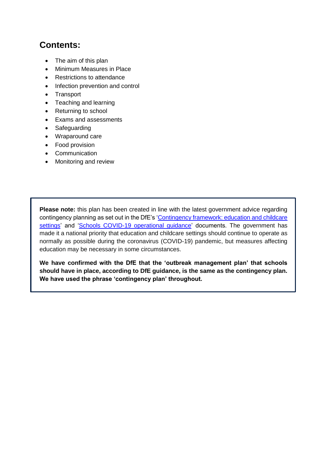# **Contents:**

- [The aim of this plan](#page-2-0)
- Minimum Measures in Place
- [Restrictions to attendance](#page-3-0)
- [Infection prevention and control](#page-3-1)
- Transport
- [Teaching and learning](#page-7-0)
- [Returning to school](#page-8-0)
- [Exams and assessments](#page-9-0)
- **[Safeguarding](#page-9-1)**
- [Wraparound care](#page-9-2)
- [Food provision](#page-9-3)
- [Communication](#page-9-4)
- [Monitoring and review](#page-10-0)

**Please note:** this plan has been created in line with the latest government advice regarding contingency planning as set out in the DfE's ['Contingency framework: education and childcare](https://www.gov.uk/government/publications/coronavirus-covid-19-local-restrictions-in-education-and-childcare-settings)  [settings'](https://www.gov.uk/government/publications/coronavirus-covid-19-local-restrictions-in-education-and-childcare-settings) and ['Schools COVID-19 operational guidance'](https://www.gov.uk/government/publications/actions-for-schools-during-the-coronavirus-outbreak/guidance-for-full-opening-schools) documents. The government has made it a national priority that education and childcare settings should continue to operate as normally as possible during the coronavirus (COVID-19) pandemic, but measures affecting education may be necessary in some circumstances.

**We have confirmed with the DfE that the 'outbreak management plan' that schools should have in place, according to DfE guidance, is the same as the contingency plan. We have used the phrase 'contingency plan' throughout.**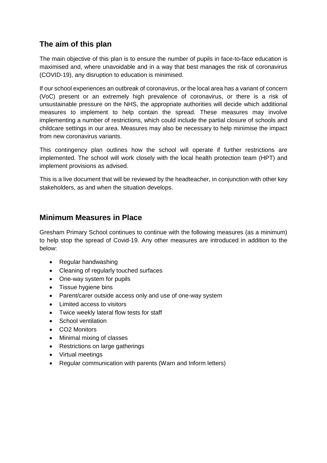# <span id="page-2-0"></span>**The aim of this plan**

The main objective of this plan is to ensure the number of pupils in face-to-face education is maximised and, where unavoidable and in a way that best manages the risk of coronavirus (COVID-19), any disruption to education is minimised.

If our school experiences an outbreak of coronavirus, or the local area has a variant of concern (VoC) present or an extremely high prevalence of coronavirus, or there is a risk of unsustainable pressure on the NHS, the appropriate authorities will decide which additional measures to implement to help contain the spread. These measures may involve implementing a number of restrictions, which could include the partial closure of schools and childcare settings in our area. Measures may also be necessary to help minimise the impact from new coronavirus variants.

This contingency plan outlines how the school will operate if further restrictions are implemented. The school will work closely with the local health protection team (HPT) and implement provisions as advised.

This is a live document that will be reviewed by the headteacher, in conjunction with other key stakeholders, as and when the situation develops.

#### **Minimum Measures in Place**

Gresham Primary School continues to continue with the following measures (as a minimum) to help stop the spread of Covid-19. Any other measures are introduced in addition to the below:

- Regular handwashing
- Cleaning of regularly touched surfaces
- One-way system for pupils
- Tissue hygiene bins
- Parent/carer outside access only and use of one-way system
- Limited access to visitors
- Twice weekly lateral flow tests for staff
- School ventilation
- CO2 Monitors
- Minimal mixing of classes
- Restrictions on large gatherings
- Virtual meetings
- Regular communication with parents (Warn and Inform letters)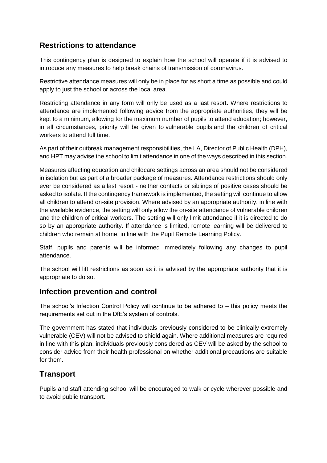# <span id="page-3-0"></span>**Restrictions to attendance**

This contingency plan is designed to explain how the school will operate if it is advised to introduce any measures to help break chains of transmission of coronavirus.

Restrictive attendance measures will only be in place for as short a time as possible and could apply to just the school or across the local area.

Restricting attendance in any form will only be used as a last resort. Where restrictions to attendance are implemented following advice from the appropriate authorities, they will be kept to a minimum, allowing for the maximum number of pupils to attend education; however, in all circumstances, priority will be given to vulnerable pupils and the children of critical workers to attend full time.

As part of their outbreak management responsibilities, the LA, Director of Public Health (DPH), and HPT may advise the school to limit attendance in one of the ways described in this section.

Measures affecting education and childcare settings across an area should not be considered in isolation but as part of a broader package of measures. Attendance restrictions should only ever be considered as a last resort - neither contacts or siblings of positive cases should be asked to isolate. If the contingency framework is implemented, the setting will continue to allow all children to attend on-site provision. Where advised by an appropriate authority, in line with the available evidence, the setting will only allow the on-site attendance of vulnerable children and the children of critical workers. The setting will only limit attendance if it is directed to do so by an appropriate authority. If attendance is limited, remote learning will be delivered to children who remain at home, in line with the Pupil Remote Learning Policy.

Staff, pupils and parents will be informed immediately following any changes to pupil attendance.

The school will lift restrictions as soon as it is advised by the appropriate authority that it is appropriate to do so.

## <span id="page-3-1"></span>**Infection prevention and control**

The school's Infection Control Policy will continue to be adhered to – this policy meets the requirements set out in the DfE's system of controls.

The government has stated that individuals previously considered to be clinically extremely vulnerable (CEV) will not be advised to shield again. Where additional measures are required in line with this plan, individuals previously considered as CEV will be asked by the school to consider advice from their health professional on whether additional precautions are suitable for them.

## **Transport**

Pupils and staff attending school will be encouraged to walk or cycle wherever possible and to avoid public transport.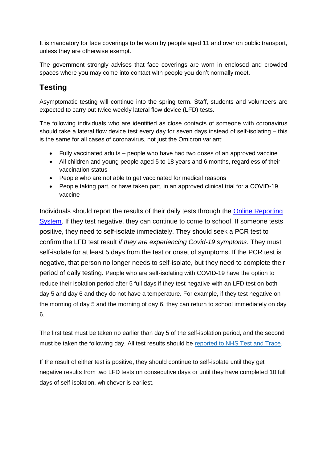It is mandatory for face coverings to be worn by people aged 11 and over on public transport, unless they are otherwise exempt.

The government strongly advises that face coverings are worn in enclosed and crowded spaces where you may come into contact with people you don't normally meet.

# **Testing**

Asymptomatic testing will continue into the spring term. Staff, students and volunteers are expected to carry out twice weekly lateral flow device (LFD) tests.

The following individuals who are identified as close contacts of someone with coronavirus should take a lateral flow device test every day for seven days instead of self-isolating – this is the same for all cases of coronavirus, not just the Omicron variant:

- Fully vaccinated adults people who have had two doses of an approved vaccine
- All children and young people aged 5 to 18 years and 6 months, regardless of their vaccination status
- People who are not able to get vaccinated for medical reasons
- People taking part, or have taken part, in an approved clinical trial for a COVID-19 vaccine

Individuals should report the results of their daily tests through the [Online Reporting](https://www.gov.uk/report-covid19-result)  [System.](https://www.gov.uk/report-covid19-result) If they test negative, they can continue to come to school. If someone tests positive, they need to self-isolate immediately. They should seek a PCR test to confirm the LFD test result *if they are experiencing Covid-19 symptoms*. They must self-isolate for at least 5 days from the test or onset of symptoms. If the PCR test is negative, that person no longer needs to self-isolate, but they need to complete their period of daily testing. People who are self-isolating with COVID-19 have the option to reduce their isolation period after 5 full days if they test negative with an LFD test on both day 5 and day 6 and they do not have a temperature. For example, if they test negative on the morning of day 5 and the morning of day 6, they can return to school immediately on day 6.

The first test must be taken no earlier than day 5 of the self-isolation period, and the second must be taken the following day. All test results should be [reported to NHS Test and Trace.](https://www.gov.uk/report-covid19-result?utm_source=18%20January%202022%20C19&utm_medium=Daily%20Email%20C19&utm_campaign=DfE%20C19)

If the result of either test is positive, they should continue to self-isolate until they get negative results from two LFD tests on consecutive days or until they have completed 10 full days of self-isolation, whichever is earliest.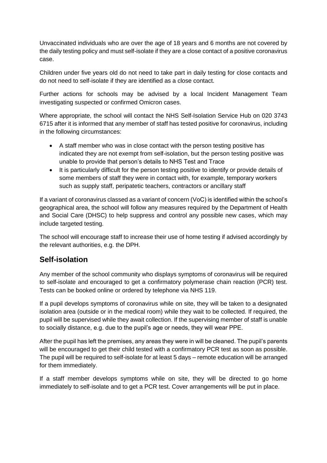Unvaccinated individuals who are over the age of 18 years and 6 months are not covered by the daily testing policy and must self-isolate if they are a close contact of a positive coronavirus case.

Children under five years old do not need to take part in daily testing for close contacts and do not need to self-isolate if they are identified as a close contact.

Further actions for schools may be advised by a local Incident Management Team investigating suspected or confirmed Omicron cases.

Where appropriate, the school will contact the NHS Self-Isolation Service Hub on 020 3743 6715 after it is informed that any member of staff has tested positive for coronavirus, including in the following circumstances:

- A staff member who was in close contact with the person testing positive has indicated they are not exempt from self-isolation, but the person testing positive was unable to provide that person's details to NHS Test and Trace
- It is particularly difficult for the person testing positive to identify or provide details of some members of staff they were in contact with, for example, temporary workers such as supply staff, peripatetic teachers, contractors or ancillary staff

If a variant of coronavirus classed as a variant of concern (VoC) is identified within the school's geographical area, the school will follow any measures required by the Department of Health and Social Care (DHSC) to help suppress and control any possible new cases, which may include targeted testing.

The school will encourage staff to increase their use of home testing if advised accordingly by the relevant authorities, e.g. the DPH.

## **Self-isolation**

Any member of the school community who displays symptoms of coronavirus will be required to self-isolate and encouraged to get a confirmatory polymerase chain reaction (PCR) test. Tests can be booked online or ordered by telephone via NHS 119.

If a pupil develops symptoms of coronavirus while on site, they will be taken to a designated isolation area (outside or in the medical room) while they wait to be collected. If required, the pupil will be supervised while they await collection. If the supervising member of staff is unable to socially distance, e.g. due to the pupil's age or needs, they will wear PPE.

After the pupil has left the premises, any areas they were in will be cleaned. The pupil's parents will be encouraged to get their child tested with a confirmatory PCR test as soon as possible. The pupil will be required to self-isolate for at least 5 days – remote education will be arranged for them immediately.

If a staff member develops symptoms while on site, they will be directed to go home immediately to self-isolate and to get a PCR test. Cover arrangements will be put in place.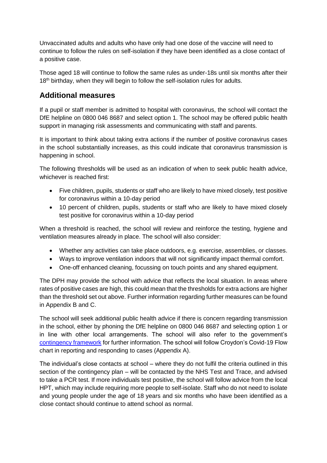Unvaccinated adults and adults who have only had one dose of the vaccine will need to continue to follow the rules on self-isolation if they have been identified as a close contact of a positive case.

Those aged 18 will continue to follow the same rules as under-18s until six months after their 18<sup>th</sup> birthday, when they will begin to follow the self-isolation rules for adults.

#### **Additional measures**

If a pupil or staff member is admitted to hospital with coronavirus, the school will contact the DfE helpline on 0800 046 8687 and select option 1. The school may be offered public health support in managing risk assessments and communicating with staff and parents.

It is important to think about taking extra actions if the number of positive coronavirus cases in the school substantially increases, as this could indicate that coronavirus transmission is happening in school.

The following thresholds will be used as an indication of when to seek public health advice, whichever is reached first:

- Five children, pupils, students or staff who are likely to have mixed closely, test positive for coronavirus within a 10-day period
- 10 percent of children, pupils, students or staff who are likely to have mixed closely test positive for coronavirus within a 10-day period

When a threshold is reached, the school will review and reinforce the testing, hygiene and ventilation measures already in place. The school will also consider:

- Whether any activities can take place outdoors, e.g. exercise, assemblies, or classes.
- Ways to improve ventilation indoors that will not significantly impact thermal comfort.
- One-off enhanced cleaning, focussing on touch points and any shared equipment.

The DPH may provide the school with advice that reflects the local situation. In areas where rates of positive cases are high, this could mean that the thresholds for extra actions are higher than the threshold set out above. Further information regarding further measures can be found in Appendix B and C.

The school will seek additional public health advice if there is concern regarding transmission in the school, either by phoning the DfE helpline on 0800 046 8687 and selecting option 1 or in line with other local arrangements. The school will also refer to the government's [contingency framework](https://www.gov.uk/government/publications/coronavirus-covid-19-local-restrictions-in-education-and-childcare-settings) for further information. The school will follow Croydon's Covid-19 Flow chart in reporting and responding to cases (Appendix A).

The individual's close contacts at school – where they do not fulfil the criteria outlined in this section of the contingency plan – will be contacted by the NHS Test and Trace, and advised to take a PCR test. If more individuals test positive, the school will follow advice from the local HPT, which may include requiring more people to self-isolate. Staff who do not need to isolate and young people under the age of 18 years and six months who have been identified as a close contact should continue to attend school as normal.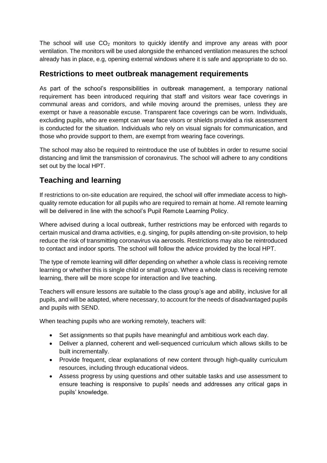The school will use  $CO<sub>2</sub>$  monitors to quickly identify and improve any areas with poor ventilation. The monitors will be used alongside the enhanced ventilation measures the school already has in place, e.g, opening external windows where it is safe and appropriate to do so.

#### **Restrictions to meet outbreak management requirements**

As part of the school's responsibilities in outbreak management, a temporary national requirement has been introduced requiring that staff and visitors wear face coverings in communal areas and corridors, and while moving around the premises, unless they are exempt or have a reasonable excuse. Transparent face coverings can be worn. Individuals, excluding pupils, who are exempt can wear face visors or shields provided a risk assessment is conducted for the situation. Individuals who rely on visual signals for communication, and those who provide support to them, are exempt from wearing face coverings.

The school may also be required to reintroduce the use of bubbles in order to resume social distancing and limit the transmission of coronavirus. The school will adhere to any conditions set out by the local HPT.

# <span id="page-7-0"></span>**Teaching and learning**

If restrictions to on-site education are required, the school will offer immediate access to highquality remote education for all pupils who are required to remain at home. All remote learning will be delivered in line with the school's Pupil Remote Learning Policy.

Where advised during a local outbreak, further restrictions may be enforced with regards to certain musical and drama activities, e.g. singing, for pupils attending on-site provision, to help reduce the risk of transmitting coronavirus via aerosols. Restrictions may also be reintroduced to contact and indoor sports. The school will follow the advice provided by the local HPT.

The type of remote learning will differ depending on whether a whole class is receiving remote learning or whether this is single child or small group. Where a whole class is receiving remote learning, there will be more scope for interaction and live teaching.

Teachers will ensure lessons are suitable to the class group's age and ability, inclusive for all pupils, and will be adapted, where necessary, to account for the needs of disadvantaged pupils and pupils with SEND.

When teaching pupils who are working remotely, teachers will:

- Set assignments so that pupils have meaningful and ambitious work each day.
- Deliver a planned, coherent and well-sequenced curriculum which allows skills to be built incrementally.
- Provide frequent, clear explanations of new content through high-quality curriculum resources, including through educational videos.
- Assess progress by using questions and other suitable tasks and use assessment to ensure teaching is responsive to pupils' needs and addresses any critical gaps in pupils' knowledge.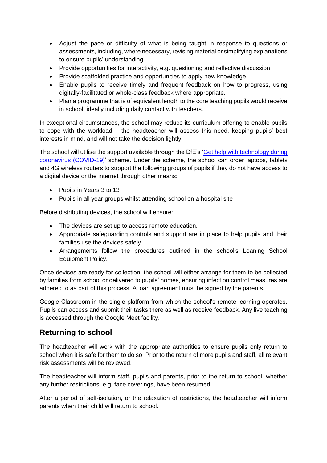- Adjust the pace or difficulty of what is being taught in response to questions or assessments, including, where necessary, revising material or simplifying explanations to ensure pupils' understanding.
- Provide opportunities for interactivity, e.g. questioning and reflective discussion.
- Provide scaffolded practice and opportunities to apply new knowledge.
- Enable pupils to receive timely and frequent feedback on how to progress, using digitally-facilitated or whole-class feedback where appropriate.
- Plan a programme that is of equivalent length to the core teaching pupils would receive in school, ideally including daily contact with teachers.

In exceptional circumstances, the school may reduce its curriculum offering to enable pupils to cope with the workload – the headteacher will assess this need, keeping pupils' best interests in mind, and will not take the decision lightly.

The school will utilise the support available through the DfE's ['Get help with technology during](https://www.gov.uk/guidance/get-help-with-technology-for-remote-education-during-coronavirus-covid-19)  [coronavirus \(COVID-19\)'](https://www.gov.uk/guidance/get-help-with-technology-for-remote-education-during-coronavirus-covid-19) scheme. Under the scheme, the school can order laptops, tablets and 4G wireless routers to support the following groups of pupils if they do not have access to a digital device or the internet through other means:

- Pupils in Years 3 to 13
- Pupils in all year groups whilst attending school on a hospital site

Before distributing devices, the school will ensure:

- The devices are set up to access remote education.
- Appropriate safeguarding controls and support are in place to help pupils and their families use the devices safely.
- Arrangements follow the procedures outlined in the school's Loaning School Equipment Policy.

Once devices are ready for collection, the school will either arrange for them to be collected by families from school or delivered to pupils' homes, ensuring infection control measures are adhered to as part of this process. A loan agreement must be signed by the parents.

Google Classroom in the single platform from which the school's remote learning operates. Pupils can access and submit their tasks there as well as receive feedback. Any live teaching is accessed through the Google Meet facility.

#### <span id="page-8-0"></span>**Returning to school**

The headteacher will work with the appropriate authorities to ensure pupils only return to school when it is safe for them to do so. Prior to the return of more pupils and staff, all relevant risk assessments will be reviewed.

The headteacher will inform staff, pupils and parents, prior to the return to school, whether any further restrictions, e.g. face coverings, have been resumed.

After a period of self-isolation, or the relaxation of restrictions, the headteacher will inform parents when their child will return to school.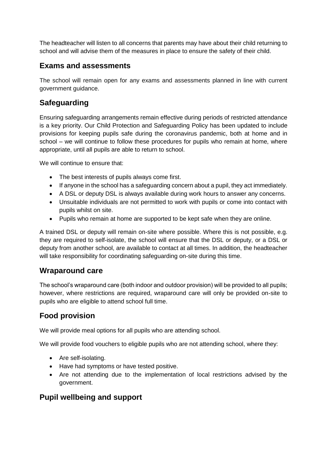The headteacher will listen to all concerns that parents may have about their child returning to school and will advise them of the measures in place to ensure the safety of their child.

#### <span id="page-9-0"></span>**Exams and assessments**

The school will remain open for any exams and assessments planned in line with current government guidance.

# <span id="page-9-1"></span>**Safeguarding**

Ensuring safeguarding arrangements remain effective during periods of restricted attendance is a key priority. Our Child Protection and Safeguarding Policy has been updated to include provisions for keeping pupils safe during the coronavirus pandemic, both at home and in school – we will continue to follow these procedures for pupils who remain at home, where appropriate, until all pupils are able to return to school.

We will continue to ensure that:

- The best interests of pupils always come first.
- If anyone in the school has a safeguarding concern about a pupil, they act immediately.
- A DSL or deputy DSL is always available during work hours to answer any concerns.
- Unsuitable individuals are not permitted to work with pupils or come into contact with pupils whilst on site.
- Pupils who remain at home are supported to be kept safe when they are online.

A trained DSL or deputy will remain on-site where possible. Where this is not possible, e.g. they are required to self-isolate, the school will ensure that the DSL or deputy, or a DSL or deputy from another school, are available to contact at all times. In addition, the headteacher will take responsibility for coordinating safeguarding on-site during this time.

#### <span id="page-9-2"></span>**Wraparound care**

The school's wraparound care (both indoor and outdoor provision) will be provided to all pupils; however, where restrictions are required, wraparound care will only be provided on-site to pupils who are eligible to attend school full time.

## <span id="page-9-3"></span>**Food provision**

We will provide meal options for all pupils who are attending school.

We will provide food vouchers to eligible pupils who are not attending school, where they:

- Are self-isolating.
- Have had symptoms or have tested positive.
- Are not attending due to the implementation of local restrictions advised by the government.

## <span id="page-9-4"></span>**Pupil wellbeing and support**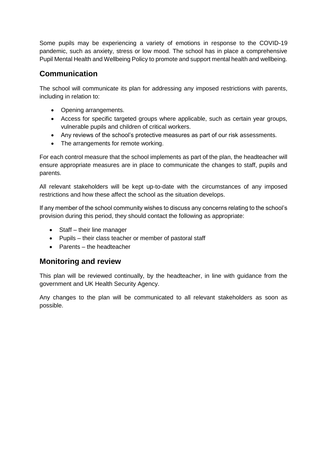Some pupils may be experiencing a variety of emotions in response to the COVID-19 pandemic, such as anxiety, stress or low mood. The school has in place a comprehensive Pupil Mental Health and Wellbeing Policy to promote and support mental health and wellbeing.

# **Communication**

The school will communicate its plan for addressing any imposed restrictions with parents, including in relation to:

- Opening arrangements.
- Access for specific targeted groups where applicable, such as certain year groups, vulnerable pupils and children of critical workers.
- Any reviews of the school's protective measures as part of our risk assessments.
- The arrangements for remote working.

For each control measure that the school implements as part of the plan, the headteacher will ensure appropriate measures are in place to communicate the changes to staff, pupils and parents.

All relevant stakeholders will be kept up-to-date with the circumstances of any imposed restrictions and how these affect the school as the situation develops.

If any member of the school community wishes to discuss any concerns relating to the school's provision during this period, they should contact the following as appropriate:

- Staff their line manager
- Pupils their class teacher or member of pastoral staff
- Parents the headteacher

#### <span id="page-10-0"></span>**Monitoring and review**

This plan will be reviewed continually, by the headteacher, in line with guidance from the government and UK Health Security Agency.

Any changes to the plan will be communicated to all relevant stakeholders as soon as possible.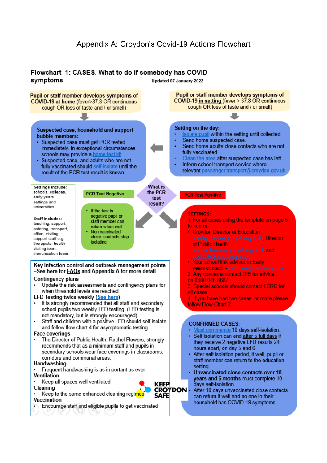## Appendix A: Croydon's Covid-19 Actions Flowchart

#### Flowchart 1: CASES. What to do if somebody has COVID symptoms Updated 07 January 2022

Pupil or staff member develops symptoms of Pupil or staff member develops symptoms of COVID-19 in setting (fever > 37.8 OR continuous COVID-19 at home (fever>37.8 OR continuous cough OR loss of taste and / or smell) cough OR loss of taste and / or smell) Setting on the day: Suspected case, household and support Isolate pupil within the setting until collected. bubble members: Send home suspected case. · Suspected case must get PCR tested Send home adults close contacts who are not immediately. In exceptional circumstances fully vaccinated schools may provide a home test kit Clean the area after suspected case has left. Suspected case, and adults who are not Inform school transport service where fully vaccinated should self-isolate until the relevant passenger.transport@croydon.gov.ul result of the PCR test result is known **What is** Settings include: schools, colleges, the PCR **PCR Test Negative PCR Test Positive** early years test settings and result? universities If the test is **SETTINGS:** negative pupil or **Staff includes:** 1. For all cases using the template on page 5 staff member can teaching, support, to inform: return when well catering, transport. Non vaccinated • Croydon Director of Education office visiting close contacts stop shelley.davies@croydon.gov.uk Director support staff e.g. isolating therapists, health of Public Health visiting team, Rachel.flowers@croydon.gov.uk and immunisation team. Your school link advisor or Early Key Infection control and outbreak management points years contact - child.care@croydon.gov.uk -See here for **FAQs** and Appendix A for more detail 2. Any concerns contact DfE for advice Contingency plans on 0800 046 8687 Update the risk assessments and contingency plans for 3. Special schools should contact LCRC for when threshold levels are reached all cases LFD Testing twice weekly (See here) 4. If you have had two cases or more please It is strongly recommended that all staff and secondary follow Flow Chart 2. school pupils two weekly LFD testing. (LFD testing is not mandatory, but is strongly encouraged) Staff and children with a positive LFD should self isolate **CONFIRMED CASES:** and follow flow chart 4 for asymptomatic testing. Must commence 10 days self-isolation.. **Face coverings** Self isolation can end after 5 full days if The Director of Public Health, Rachel Flowers, strongly they receive 2 negative LFD results 24 recommends that as a minimum staff and pupils in hours apart, on day 5 and 6 secondary schools wear face coverings in classrooms, • After self isolation period, if well, pupil or corridors and communal areas. staff member can return to the education Handwashing setting. Frequent handwashing is as important as ever • Unvaccinated close contacts over 18 Ventilation vears and 6 months must complete 10 Keep all spaces well ventilated **KEEP** days self-isolation. Cleaning CROYDON -After 10 days unvaccinated close contacts Keep to the same enhanced cleaning regimes ŚAFE can return if well and no one in their Vaccination household has COVID-19 symptoms Encourage staff and eligible pupils to get vaccinated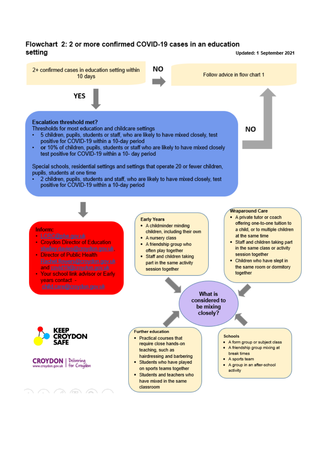#### Flowchart 2: 2 or more confirmed COVID-19 cases in an education setting

Updated: 1 September 2021

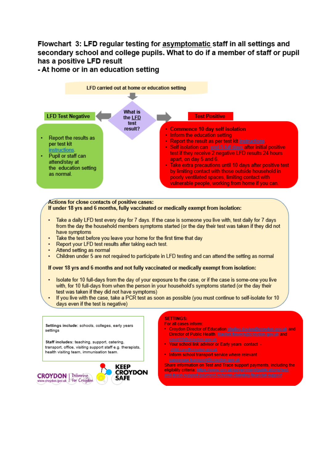# Flowchart 3: LFD regular testing for asymptomatic staff in all settings and secondary school and college pupils. What to do if a member of staff or pupil has a positive LFD result

- At home or in an education setting



SAFE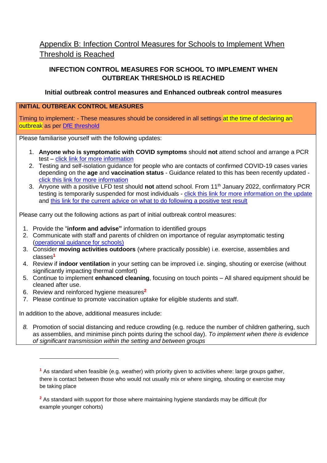# Appendix B: Infection Control Measures for Schools to Implement When Threshold is Reached

#### **INFECTION CONTROL MEASURES FOR SCHOOL TO IMPLEMENT WHEN OUTBREAK THRESHOLD IS REACHED**

#### **Initial outbreak control measures and Enhanced outbreak control measures**

#### **INITIAL OUTBREAK CONTROL MEASURES**

Timing to implement: - These measures should be considered in all settings at the time of declaring an outbreak as per [DfE threshold](https://www.gov.uk/government/publications/coronavirus-covid-19-local-restrictions-in-education-and-childcare-settings/contingency-framework-education-and-childcare-settings#contingency-planning)

Please familiarise yourself with the following updates:

- 1. **Anyone who is symptomatic with COVID symptoms** should **not** attend school and arrange a PCR test – [click link for more information](https://www.gov.uk/get-coronavirus-test)
- 2. Testing and self-isolation guidance for people who are contacts of confirmed COVID-19 cases varies depending on the **age** and **vaccination status** - Guidance related to this has been recently updated click this [link for more information](https://www.gov.uk/government/publications/guidance-for-contacts-of-people-with-possible-or-confirmed-coronavirus-covid-19-infection-who-do-not-live-with-the-person/guidance-for-contacts-of-people-with-possible-or-confirmed-coronavirus-covid-19-infection-who-do-not-live-with-the-person)
- 3. Anyone with a positive LFD test should **not** attend school. From 11th January 2022, confirmatory PCR testing is temporarily suspended for most individuals - [click this link for more information on the update](https://www.gov.uk/government/news/confirmatory-pcr-tests-to-be-temporarily-suspended-for-positive-lateral-flow-test-results) and this link for the current [advice on what to do following a positive test result](https://www.nhs.uk/conditions/coronavirus-covid-19/testing/test-results/positive-test-result/)

Please carry out the following actions as part of initial outbreak control measures:

- 1. Provide the "**inform and advise"** information to identified groups
- 2. Communicate with staff and parents of children on importance of regular asymptomatic testing [\(operational guidance for schools\)](https://www.gov.uk/government/publications/actions-for-schools-during-the-coronavirus-outbreak)
- 3. Consider **moving activities outdoors** (where practically possible) i.e. exercise, assemblies and classes**<sup>1</sup>**
- 4. Review if **indoor ventilation** in your setting can be improved i.e. singing, shouting or exercise (without significantly impacting thermal comfort)
- 5. Continue to implement **enhanced cleaning**, focusing on touch points All shared equipment should be cleaned after use.
- 6. Review and reinforced hygiene measures**<sup>2</sup>**

-

7. Please continue to promote vaccination uptake for eligible students and staff.

In addition to the above, additional measures include:

*8.* Promotion of social distancing and reduce crowding (e.g. reduce the number of children gathering, such as assemblies, and minimise pinch points during the school day). *To implement when there is evidence of significant transmission within the setting and between groups*

**<sup>2</sup>** As standard with support for those where maintaining hygiene standards may be difficult (for example younger cohorts)

**<sup>1</sup>** As standard when feasible (e.g. weather) with priority given to activities where: large groups gather, there is contact between those who would not usually mix or where singing, shouting or exercise may be taking place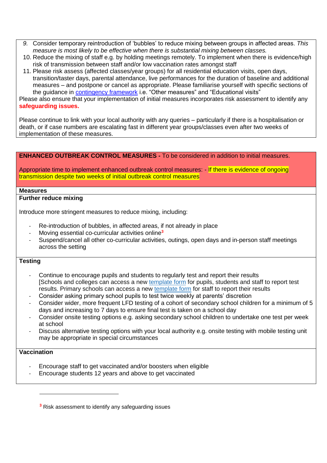- *9.* Consider temporary reintroduction of 'bubbles' to reduce mixing between groups in affected areas. *This measure is most likely to be effective when there is substantial mixing between classes.*
- 10. Reduce the mixing of staff e.g. by holding meetings remotely. To implement when there is evidence/high risk of transmission between staff and/or low vaccination rates amongst staff
- 11. Please risk assess (affected classes/year groups) for all residential education visits, open days, transition/taster days, parental attendance, live performances for the duration of baseline and additional measures – and postpone or cancel as appropriate. Please familiarise yourself with specific sections of the guidance in **contingency framework** i.e. "Other measures" and "Educational visits" Please also ensure that your implementation of initial measures incorporates risk assessment to identify any **safeguarding issues.**

Please continue to link with your local authority with any queries – particularly if there is a hospitalisation or death, or if case numbers are escalating fast in different year groups/classes even after two weeks of implementation of these measures.

| <b>ENHANCED OUTBREAK CONTROL MEASURES - To be considered in addition to initial measures.</b> |  |
|-----------------------------------------------------------------------------------------------|--|
|-----------------------------------------------------------------------------------------------|--|

Appropriate time to implement enhanced outbreak control measures: - If there is evidence of ongoing transmission despite two weeks of initial outbreak control measures

#### **Measures**

#### **Further reduce mixing**

Introduce more stringent measures to reduce mixing, including:

- Re-introduction of bubbles, in affected areas, if not already in place
- Moving essential co-curricular activities online**<sup>3</sup>**
- Suspend/cancel all other co-curricular activities, outings, open days and in-person staff meetings across the setting

#### **Testing**

- Continue to encourage pupils and students to regularly test and report their results [Schools and colleges can access a new [template form](https://eur01.safelinks.protection.outlook.com/?url=https%3A%2F%2Fdocs.google.com%2Fdocument%2Fd%2F1j0tw6Jgjxs_ygZSqWErVnQdJK9M4vjH1%2Fedit&data=04%7C01%7Crebecca.cordery%40phe.gov.uk%7C9e7d23e322bb4a5f8ad008d9d4fe99d3%7Cee4e14994a354b2ead475f3cf9de8666%7C0%7C0%7C637775012228760767%7CUnknown%7CTWFpbGZsb3d8eyJWIjoiMC4wLjAwMDAiLCJQIjoiV2luMzIiLCJBTiI6Ik1haWwiLCJXVCI6Mn0%3D%7C3000&sdata=yhhdcNyrfs4Vd2J%2Bft%2FShUo91Rc9QbCrf6wd%2Fid6JNA%3D&reserved=0) for pupils, students and staff to report test results. Primary schools can access a new [template form](https://eur01.safelinks.protection.outlook.com/?url=https%3A%2F%2Fdocs.google.com%2Fdocument%2Fd%2F11qEX8kzTXU_bGXrKlJarxZD12jfLK3b0%2Fedit&data=04%7C01%7Crebecca.cordery%40phe.gov.uk%7C9e7d23e322bb4a5f8ad008d9d4fe99d3%7Cee4e14994a354b2ead475f3cf9de8666%7C0%7C0%7C637775012228760767%7CUnknown%7CTWFpbGZsb3d8eyJWIjoiMC4wLjAwMDAiLCJQIjoiV2luMzIiLCJBTiI6Ik1haWwiLCJXVCI6Mn0%3D%7C3000&sdata=0ouezLUp6%2BRnb7mZJnLfTqkWy0JkVQ1H5OHArOpF3pk%3D&reserved=0) for staff to report their results
- Consider asking primary school pupils to test twice weekly at parents' discretion
- Consider wider, more frequent LFD testing of a cohort of secondary school children for a minimum of 5 days and increasing to 7 days to ensure final test is taken on a school day
- Consider onsite testing options e.g. asking secondary school children to undertake one test per week at school
- Discuss alternative testing options with your local authority e.g. onsite testing with mobile testing unit may be appropriate in special circumstances

#### **Vaccination**

-

- Encourage staff to get vaccinated and/or boosters when eligible
- Encourage students 12 years and above to get vaccinated

**<sup>3</sup>** Risk assessment to identify any safeguarding issues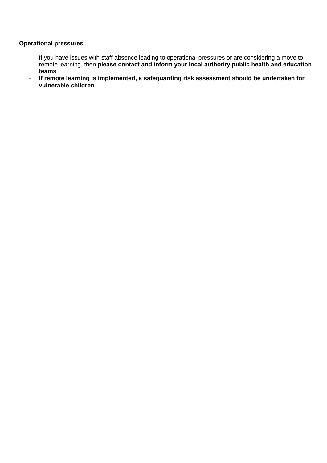#### **Operational pressures**

- If you have issues with staff absence leading to operational pressures or are considering a move to remote learning, then **please contact and inform your local authority public health and education teams**
- **If remote learning is implemented, a safeguarding risk assessment should be undertaken for vulnerable children**.